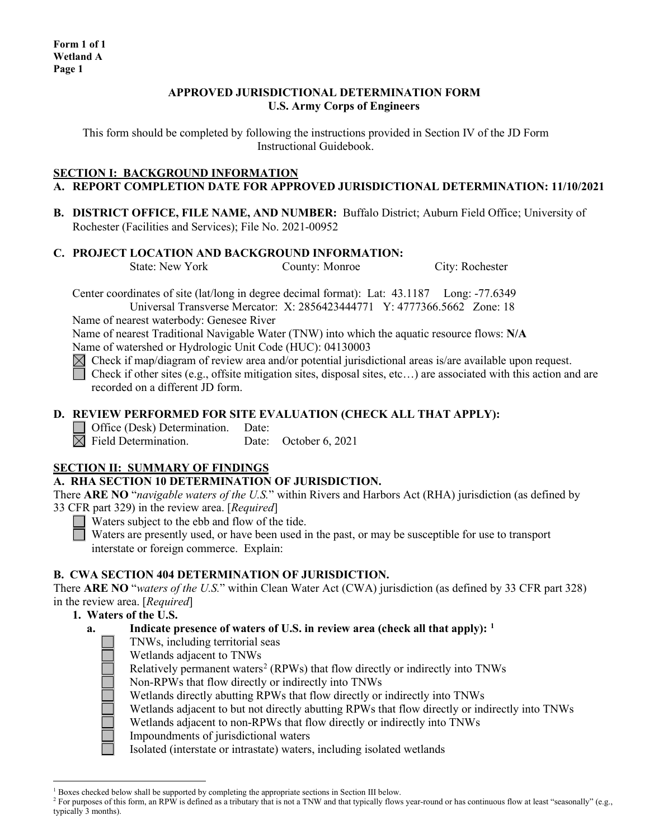### **APPROVED JURISDICTIONAL DETERMINATION FORM U.S. Army Corps of Engineers**

This form should be completed by following the instructions provided in Section IV of the JD Form Instructional Guidebook.

#### **SECTION I: BACKGROUND INFORMATION A. REPORT COMPLETION DATE FOR APPROVED JURISDICTIONAL DETERMINATION: 11/10/2021**

**B. DISTRICT OFFICE, FILE NAME, AND NUMBER:** Buffalo District; Auburn Field Office; University of Rochester (Facilities and Services); File No. 2021-00952

## **C. PROJECT LOCATION AND BACKGROUND INFORMATION:**

State: New York County: Monroe City: Rochester

Center coordinates of site (lat/long in degree decimal format): Lat: 43.1187 Long: -77.6349 Universal Transverse Mercator: X: 2856423444771 Y: 4777366.5662 Zone: 18

Name of nearest waterbody: Genesee River

Name of nearest Traditional Navigable Water (TNW) into which the aquatic resource flows: **N/A**

Name of watershed or Hydrologic Unit Code (HUC): 04130003

 $\boxtimes$  Check if map/diagram of review area and/or potential jurisdictional areas is/are available upon request.

Check if other sites (e.g., offsite mitigation sites, disposal sites, etc...) are associated with this action and are recorded on a different JD form.

## **D. REVIEW PERFORMED FOR SITE EVALUATION (CHECK ALL THAT APPLY):**

 $\Box$  Office (Desk) Determination. Date:<br> $\Box$  Field Determination. Date:

Date: October 6, 2021

# **SECTION II: SUMMARY OF FINDINGS**

## **A. RHA SECTION 10 DETERMINATION OF JURISDICTION.**

There **ARE NO** "*navigable waters of the U.S.*" within Rivers and Harbors Act (RHA) jurisdiction (as defined by 33 CFR part 329) in the review area. [*Required*]

Waters subject to the ebb and flow of the tide.

Waters are presently used, or have been used in the past, or may be susceptible for use to transport interstate or foreign commerce. Explain:

# **B. CWA SECTION 404 DETERMINATION OF JURISDICTION.**

There **ARE NO** "*waters of the U.S.*" within Clean Water Act (CWA) jurisdiction (as defined by 33 CFR part 328) in the review area. [*Required*]

# **1. Waters of the U.S.**

- **a. Indicate presence of waters of U.S. in review area (check all that apply): [1](#page-0-0)**
	- TNWs, including territorial seas
	- Wetlands adjacent to TNWs
	- Relatively permanent waters<sup>[2](#page-0-1)</sup> (RPWs) that flow directly or indirectly into TNWs
	- Non-RPWs that flow directly or indirectly into TNWs
	- Wetlands directly abutting RPWs that flow directly or indirectly into TNWs
	- Wetlands adjacent to but not directly abutting RPWs that flow directly or indirectly into TNWs
	- Wetlands adjacent to non-RPWs that flow directly or indirectly into TNWs
	- Impoundments of jurisdictional waters
	- Isolated (interstate or intrastate) waters, including isolated wetlands

<span id="page-0-0"></span> $1$  Boxes checked below shall be supported by completing the appropriate sections in Section III below.

<span id="page-0-1"></span><sup>&</sup>lt;sup>2</sup> For purposes of this form, an RPW is defined as a tributary that is not a TNW and that typically flows year-round or has continuous flow at least "seasonally" (e.g., typically 3 months).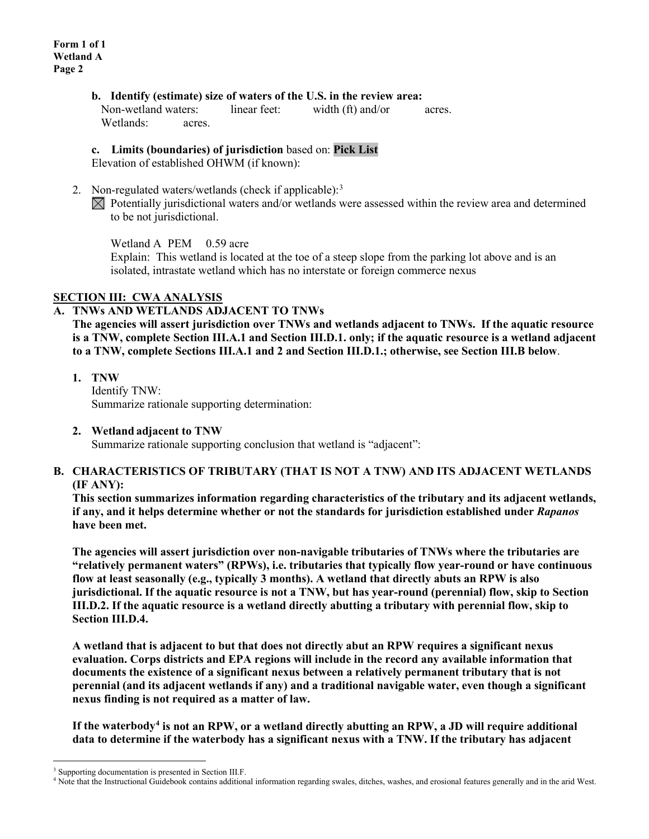#### **b. Identify (estimate) size of waters of the U.S. in the review area:**

Non-wetland waters: linear feet: width (ft) and/or acres. Wetlands: acres.

#### **c. Limits (boundaries) of jurisdiction** based on: **Pick List**

Elevation of established OHWM (if known):

2. Non-regulated waters/wetlands (check if applicable):<sup>[3](#page-1-0)</sup>  $\boxtimes$  Potentially jurisdictional waters and/or wetlands were assessed within the review area and determined to be not jurisdictional.

Wetland A PEM 0.59 acre

Explain: This wetland is located at the toe of a steep slope from the parking lot above and is an isolated, intrastate wetland which has no interstate or foreign commerce nexus

### **SECTION III: CWA ANALYSIS**

#### **A. TNWs AND WETLANDS ADJACENT TO TNWs**

**The agencies will assert jurisdiction over TNWs and wetlands adjacent to TNWs. If the aquatic resource is a TNW, complete Section III.A.1 and Section III.D.1. only; if the aquatic resource is a wetland adjacent to a TNW, complete Sections III.A.1 and 2 and Section III.D.1.; otherwise, see Section III.B below**.

**1. TNW** 

Identify TNW: Summarize rationale supporting determination:

**2. Wetland adjacent to TNW** 

Summarize rationale supporting conclusion that wetland is "adjacent":

### **B. CHARACTERISTICS OF TRIBUTARY (THAT IS NOT A TNW) AND ITS ADJACENT WETLANDS (IF ANY):**

**This section summarizes information regarding characteristics of the tributary and its adjacent wetlands, if any, and it helps determine whether or not the standards for jurisdiction established under** *Rapanos* **have been met.** 

**The agencies will assert jurisdiction over non-navigable tributaries of TNWs where the tributaries are "relatively permanent waters" (RPWs), i.e. tributaries that typically flow year-round or have continuous flow at least seasonally (e.g., typically 3 months). A wetland that directly abuts an RPW is also jurisdictional. If the aquatic resource is not a TNW, but has year-round (perennial) flow, skip to Section III.D.2. If the aquatic resource is a wetland directly abutting a tributary with perennial flow, skip to Section III.D.4.** 

**A wetland that is adjacent to but that does not directly abut an RPW requires a significant nexus evaluation. Corps districts and EPA regions will include in the record any available information that documents the existence of a significant nexus between a relatively permanent tributary that is not perennial (and its adjacent wetlands if any) and a traditional navigable water, even though a significant nexus finding is not required as a matter of law.**

**If the waterbody[4](#page-1-1) is not an RPW, or a wetland directly abutting an RPW, a JD will require additional data to determine if the waterbody has a significant nexus with a TNW. If the tributary has adjacent** 

<span id="page-1-0"></span><sup>&</sup>lt;sup>3</sup> Supporting documentation is presented in Section III.F.

<span id="page-1-1"></span><sup>4</sup> Note that the Instructional Guidebook contains additional information regarding swales, ditches, washes, and erosional features generally and in the arid West.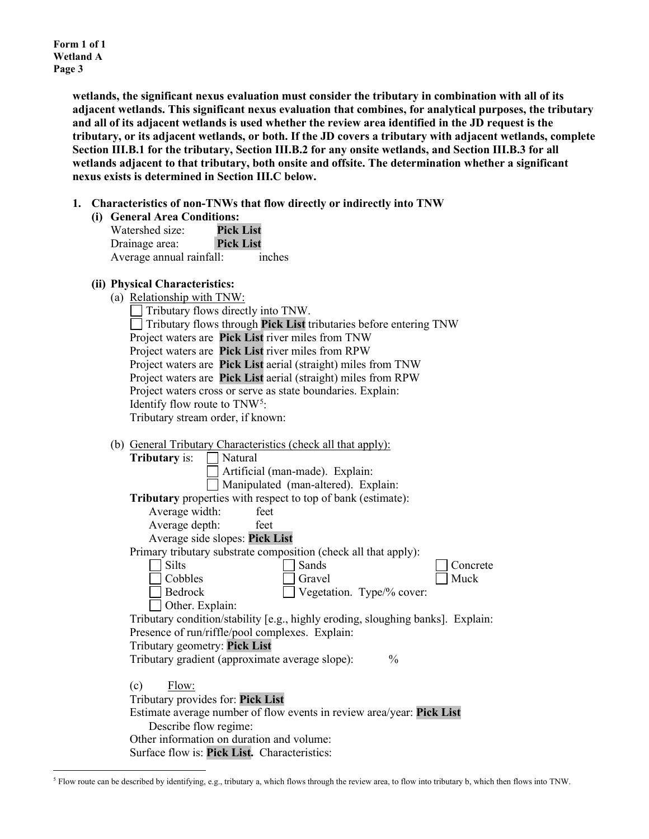**Form 1 of 1 Wetland A Page 3**

> **wetlands, the significant nexus evaluation must consider the tributary in combination with all of its adjacent wetlands. This significant nexus evaluation that combines, for analytical purposes, the tributary and all of its adjacent wetlands is used whether the review area identified in the JD request is the tributary, or its adjacent wetlands, or both. If the JD covers a tributary with adjacent wetlands, complete Section III.B.1 for the tributary, Section III.B.2 for any onsite wetlands, and Section III.B.3 for all wetlands adjacent to that tributary, both onsite and offsite. The determination whether a significant nexus exists is determined in Section III.C below.**

- **1. Characteristics of non-TNWs that flow directly or indirectly into TNW**
	- **(i) General Area Conditions:**

| Watershed size:          | <b>Pick List</b> |        |
|--------------------------|------------------|--------|
| Drainage area:           | <b>Pick List</b> |        |
| Average annual rainfall: |                  | inches |

## **(ii) Physical Characteristics:**

(a) Relationship with TNW:

| 1.31                                                                            |
|---------------------------------------------------------------------------------|
| $\Box$ Tributary flows directly into TNW.                                       |
| $\Box$ Tributary flows through <b>Pick List</b> tributaries before entering TNW |
| Project waters are Pick List river miles from TNW                               |
| Project waters are Pick List river miles from RPW                               |
| Project waters are Pick List aerial (straight) miles from TNW                   |
| Project waters are Pick List aerial (straight) miles from RPW                   |
| Project waters cross or serve as state boundaries. Explain:                     |
| Identify flow route to $TNW^5$ :                                                |
| Tributary stream order, if known:                                               |
|                                                                                 |

(b) General Tributary Characteristics (check all that apply):

| Natural<br><b>Tributary</b> is:                                                 |
|---------------------------------------------------------------------------------|
| Artificial (man-made). Explain:                                                 |
| Manipulated (man-altered). Explain:                                             |
| Tributary properties with respect to top of bank (estimate):                    |
| Average width:<br>feet                                                          |
| Average depth:<br>feet                                                          |
| Average side slopes: Pick List                                                  |
| Primary tributary substrate composition (check all that apply):                 |
| Sands<br>Silts<br>Concrete                                                      |
| Muck<br>Cobbles<br>Gravel                                                       |
| Bedrock<br>Vegetation. Type/% cover:                                            |
| Other. Explain:                                                                 |
| Tributary condition/stability [e.g., highly eroding, sloughing banks]. Explain: |
| Presence of run/riffle/pool complexes. Explain:                                 |
| Tributary geometry: Pick List                                                   |
| Tributary gradient (approximate average slope):<br>$\frac{0}{0}$                |
|                                                                                 |
| Flow:<br>(c)                                                                    |
| Tributary provides for: Pick List                                               |
| Estimate average number of flow events in review area/year: Pick List           |
| Describe flow regime:                                                           |
| Other information on duration and volume:                                       |
| Surface flow is: Pick List. Characteristics:                                    |
|                                                                                 |

<span id="page-2-0"></span><sup>5</sup> Flow route can be described by identifying, e.g., tributary a, which flows through the review area, to flow into tributary b, which then flows into TNW.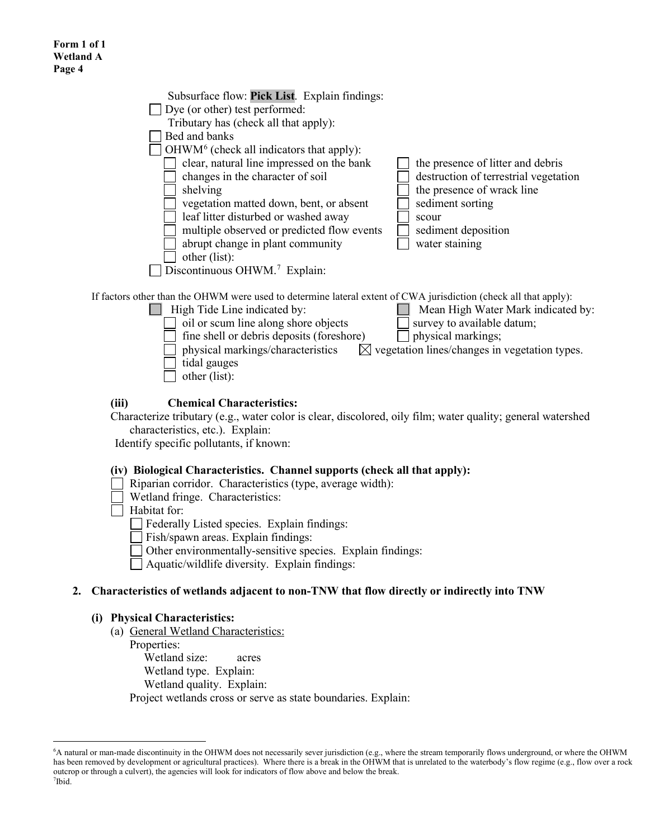| Subsurface flow: Pick List. Explain findings:<br>Dye (or other) test performed:<br>Tributary has (check all that apply):<br>Bed and banks<br>$OHWM6$ (check all indicators that apply):<br>clear, natural line impressed on the bank<br>changes in the character of soil<br>shelving<br>vegetation matted down, bent, or absent<br>leaf litter disturbed or washed away<br>multiple observed or predicted flow events<br>abrupt change in plant community | the presence of litter and debris<br>destruction of terrestrial vegetation<br>the presence of wrack line<br>sediment sorting<br>scour<br>sediment deposition<br>water staining |
|-----------------------------------------------------------------------------------------------------------------------------------------------------------------------------------------------------------------------------------------------------------------------------------------------------------------------------------------------------------------------------------------------------------------------------------------------------------|--------------------------------------------------------------------------------------------------------------------------------------------------------------------------------|
|                                                                                                                                                                                                                                                                                                                                                                                                                                                           |                                                                                                                                                                                |
|                                                                                                                                                                                                                                                                                                                                                                                                                                                           |                                                                                                                                                                                |
| other (list):                                                                                                                                                                                                                                                                                                                                                                                                                                             |                                                                                                                                                                                |
| Discontinuous OHWM. <sup>7</sup> Explain:                                                                                                                                                                                                                                                                                                                                                                                                                 |                                                                                                                                                                                |
|                                                                                                                                                                                                                                                                                                                                                                                                                                                           |                                                                                                                                                                                |

If factors other than the OHWM were used to determine lateral extent of CWA jurisdiction (check all that apply):

**High Tide Line indicated by:** Mean High Water Mark indicated by:  $\Box$  oil or scum line along shore objects  $\Box$  survey to available datum; fine shell or debris deposits (foreshore)  $\Box$  physical markings; physical markings/characteristics  $\boxtimes$  vegetation lines/changes in vegetation types. tidal gauges other (list):

## **(iii) Chemical Characteristics:**

Characterize tributary (e.g., water color is clear, discolored, oily film; water quality; general watershed characteristics, etc.). Explain:

Identify specific pollutants, if known:

#### **(iv) Biological Characteristics. Channel supports (check all that apply):**

- Riparian corridor. Characteristics (type, average width):
- Wetland fringe. Characteristics:

 $\Box$  Habitat for:

Federally Listed species. Explain findings:

Fish/spawn areas. Explain findings:

Other environmentally-sensitive species. Explain findings:

Aquatic/wildlife diversity. Explain findings:

## **2. Characteristics of wetlands adjacent to non-TNW that flow directly or indirectly into TNW**

#### **(i) Physical Characteristics:**

(a) General Wetland Characteristics:

Properties:

Wetland size: acres

Wetland type. Explain:

Wetland quality. Explain:

Project wetlands cross or serve as state boundaries. Explain:

<span id="page-3-1"></span><span id="page-3-0"></span><sup>6</sup> A natural or man-made discontinuity in the OHWM does not necessarily sever jurisdiction (e.g., where the stream temporarily flows underground, or where the OHWM has been removed by development or agricultural practices). Where there is a break in the OHWM that is unrelated to the waterbody's flow regime (e.g., flow over a rock outcrop or through a culvert), the agencies will look for indicators of flow above and below the break. 7 Ibid.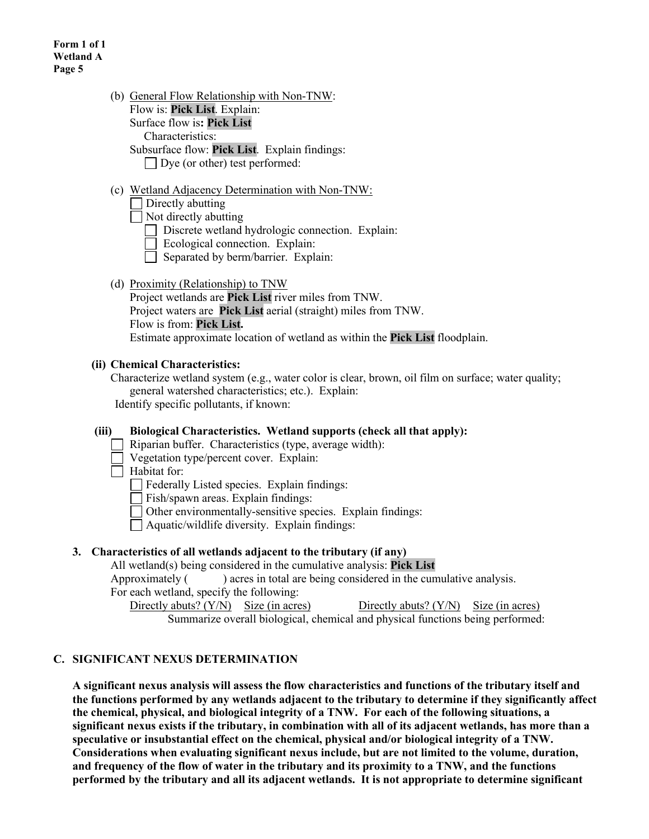| (b) General Flow Relationship with Non-TNW:   |
|-----------------------------------------------|
| Flow is: Pick List. Explain:                  |
| Surface flow is: Pick List                    |
| Characteristics:                              |
| Subsurface flow: Pick List. Explain findings: |

Dye (or other) test performed:

### (c) Wetland Adjacency Determination with Non-TNW:

Directly abutting

 $\Box$  Not directly abutting

Discrete wetland hydrologic connection. Explain:

Ecological connection. Explain:

- $\Box$  Separated by berm/barrier. Explain:
- (d) Proximity (Relationship) to TNW

Project wetlands are **Pick List** river miles from TNW. Project waters are **Pick List** aerial (straight) miles from TNW. Flow is from: **Pick List.** Estimate approximate location of wetland as within the **Pick List** floodplain.

#### **(ii) Chemical Characteristics:**

Characterize wetland system (e.g., water color is clear, brown, oil film on surface; water quality; general watershed characteristics; etc.). Explain: Identify specific pollutants, if known:

**(iii) Biological Characteristics. Wetland supports (check all that apply):** Riparian buffer. Characteristics (type, average width):

Vegetation type/percent cover. Explain:

 $\Box$  Habitat for:

Federally Listed species. Explain findings:

Fish/spawn areas. Explain findings:

Other environmentally-sensitive species. Explain findings:

Aquatic/wildlife diversity. Explain findings:

#### **3. Characteristics of all wetlands adjacent to the tributary (if any)**

All wetland(s) being considered in the cumulative analysis: **Pick List**

Approximately () acres in total are being considered in the cumulative analysis.

For each wetland, specify the following:

Directly abuts?  $(Y/N)$  Size (in acres) Directly abuts?  $(Y/N)$  Size (in acres)

Summarize overall biological, chemical and physical functions being performed:

## **C. SIGNIFICANT NEXUS DETERMINATION**

**A significant nexus analysis will assess the flow characteristics and functions of the tributary itself and the functions performed by any wetlands adjacent to the tributary to determine if they significantly affect the chemical, physical, and biological integrity of a TNW. For each of the following situations, a significant nexus exists if the tributary, in combination with all of its adjacent wetlands, has more than a speculative or insubstantial effect on the chemical, physical and/or biological integrity of a TNW. Considerations when evaluating significant nexus include, but are not limited to the volume, duration, and frequency of the flow of water in the tributary and its proximity to a TNW, and the functions performed by the tributary and all its adjacent wetlands. It is not appropriate to determine significant**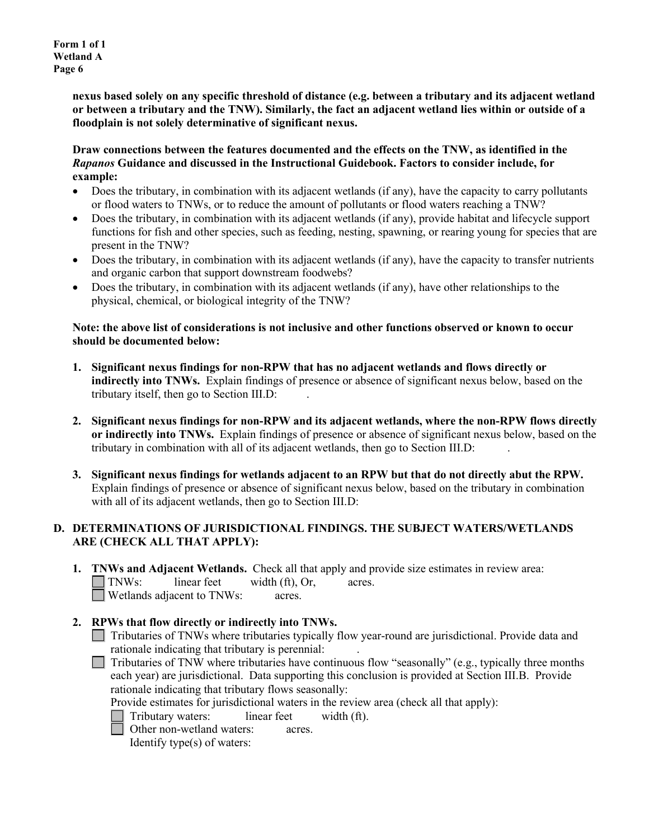**Form 1 of 1 Wetland A Page 6**

> **nexus based solely on any specific threshold of distance (e.g. between a tributary and its adjacent wetland or between a tributary and the TNW). Similarly, the fact an adjacent wetland lies within or outside of a floodplain is not solely determinative of significant nexus.**

### **Draw connections between the features documented and the effects on the TNW, as identified in the**  *Rapanos* **Guidance and discussed in the Instructional Guidebook. Factors to consider include, for example:**

- Does the tributary, in combination with its adjacent wetlands (if any), have the capacity to carry pollutants or flood waters to TNWs, or to reduce the amount of pollutants or flood waters reaching a TNW?
- Does the tributary, in combination with its adjacent wetlands (if any), provide habitat and lifecycle support functions for fish and other species, such as feeding, nesting, spawning, or rearing young for species that are present in the TNW?
- Does the tributary, in combination with its adjacent wetlands (if any), have the capacity to transfer nutrients and organic carbon that support downstream foodwebs?
- Does the tributary, in combination with its adjacent wetlands (if any), have other relationships to the physical, chemical, or biological integrity of the TNW?

### **Note: the above list of considerations is not inclusive and other functions observed or known to occur should be documented below:**

- **1. Significant nexus findings for non-RPW that has no adjacent wetlands and flows directly or indirectly into TNWs.** Explain findings of presence or absence of significant nexus below, based on the tributary itself, then go to Section III.D: .
- **2. Significant nexus findings for non-RPW and its adjacent wetlands, where the non-RPW flows directly or indirectly into TNWs.** Explain findings of presence or absence of significant nexus below, based on the tributary in combination with all of its adjacent wetlands, then go to Section III.D: .
- **3. Significant nexus findings for wetlands adjacent to an RPW but that do not directly abut the RPW.** Explain findings of presence or absence of significant nexus below, based on the tributary in combination with all of its adjacent wetlands, then go to Section III.D:

## **D. DETERMINATIONS OF JURISDICTIONAL FINDINGS. THE SUBJECT WATERS/WETLANDS ARE (CHECK ALL THAT APPLY):**

**1. TNWs and Adjacent Wetlands.** Check all that apply and provide size estimates in review area: TNWs: linear feet width (ft), Or, acres. Wetlands adjacent to TNWs: acres.

# **2. RPWs that flow directly or indirectly into TNWs.**

- Tributaries of TNWs where tributaries typically flow year-round are jurisdictional. Provide data and rationale indicating that tributary is perennial: .
- $\Box$  Tributaries of TNW where tributaries have continuous flow "seasonally" (e.g., typically three months each year) are jurisdictional. Data supporting this conclusion is provided at Section III.B. Provide rationale indicating that tributary flows seasonally:

Provide estimates for jurisdictional waters in the review area (check all that apply):

Tributary waters: linear feet width (ft).

Other non-wetland waters: acres.

Identify type(s) of waters: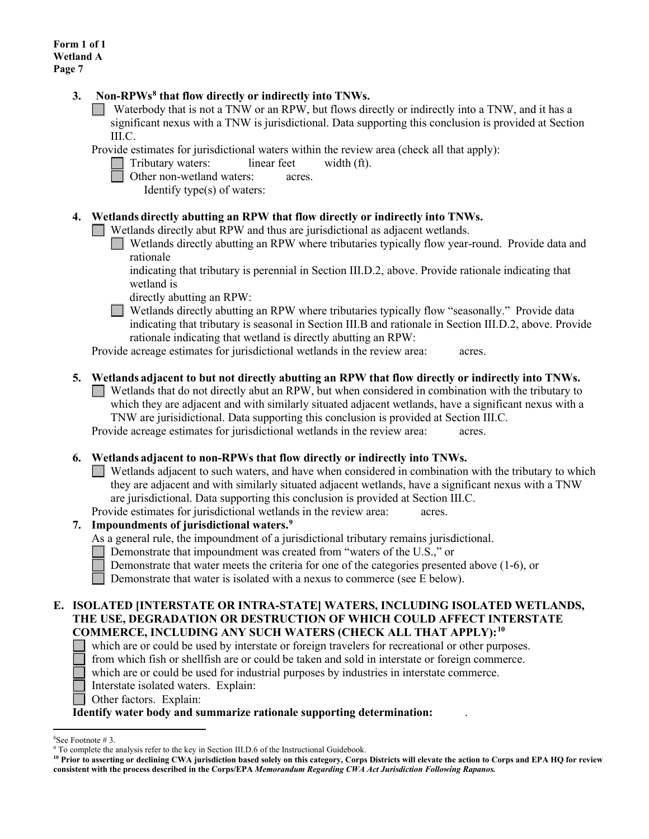### **3. Non-RPWs[8](#page-6-0) that flow directly or indirectly into TNWs.**

Waterbody that is not a TNW or an RPW, but flows directly or indirectly into a TNW, and it has a significant nexus with a TNW is jurisdictional. Data supporting this conclusion is provided at Section III.C.

Provide estimates for jurisdictional waters within the review area (check all that apply):

Tributary waters: linear feet width (ft).

**Other non-wetland waters:** acres.

Identify type(s) of waters:

### **4. Wetlands directly abutting an RPW that flow directly or indirectly into TNWs.**

Wetlands directly abut RPW and thus are jurisdictional as adjacent wetlands.

Wetlands directly abutting an RPW where tributaries typically flow year-round. Provide data and rationale

indicating that tributary is perennial in Section III.D.2, above. Provide rationale indicating that wetland is

directly abutting an RPW:

Wetlands directly abutting an RPW where tributaries typically flow "seasonally." Provide data indicating that tributary is seasonal in Section III.B and rationale in Section III.D.2, above. Provide rationale indicating that wetland is directly abutting an RPW:

Provide acreage estimates for jurisdictional wetlands in the review area: acres.

## **5. Wetlands adjacent to but not directly abutting an RPW that flow directly or indirectly into TNWs.**

 $\Box$  Wetlands that do not directly abut an RPW, but when considered in combination with the tributary to which they are adjacent and with similarly situated adjacent wetlands, have a significant nexus with a TNW are jurisidictional. Data supporting this conclusion is provided at Section III.C. Provide acreage estimates for jurisdictional wetlands in the review area: acres.

#### **6. Wetlands adjacent to non-RPWs that flow directly or indirectly into TNWs.**

- Wetlands adjacent to such waters, and have when considered in combination with the tributary to which they are adjacent and with similarly situated adjacent wetlands, have a significant nexus with a TNW are jurisdictional. Data supporting this conclusion is provided at Section III.C.
- Provide estimates for jurisdictional wetlands in the review area: acres.

## **7. Impoundments of jurisdictional waters. [9](#page-6-1)**

- As a general rule, the impoundment of a jurisdictional tributary remains jurisdictional.
	- Demonstrate that impoundment was created from "waters of the U.S.," or
	- Demonstrate that water meets the criteria for one of the categories presented above (1-6), or
	- Demonstrate that water is isolated with a nexus to commerce (see E below).

#### **E. ISOLATED [INTERSTATE OR INTRA-STATE] WATERS, INCLUDING ISOLATED WETLANDS, THE USE, DEGRADATION OR DESTRUCTION OF WHICH COULD AFFECT INTERSTATE COMMERCE, INCLUDING ANY SUCH WATERS (CHECK ALL THAT APPLY):[10](#page-6-2)**

- which are or could be used by interstate or foreign travelers for recreational or other purposes.
- from which fish or shellfish are or could be taken and sold in interstate or foreign commerce.
- which are or could be used for industrial purposes by industries in interstate commerce.
- Interstate isolated waters.Explain:
- Other factors.Explain:

#### **Identify water body and summarize rationale supporting determination:** .

<span id="page-6-0"></span><sup>&</sup>lt;sup>8</sup>See Footnote #3.

<span id="page-6-1"></span> $9$  To complete the analysis refer to the key in Section III.D.6 of the Instructional Guidebook.

<span id="page-6-2"></span>**<sup>10</sup> Prior to asserting or declining CWA jurisdiction based solely on this category, Corps Districts will elevate the action to Corps and EPA HQ for review consistent with the process described in the Corps/EPA** *Memorandum Regarding CWA Act Jurisdiction Following Rapanos.*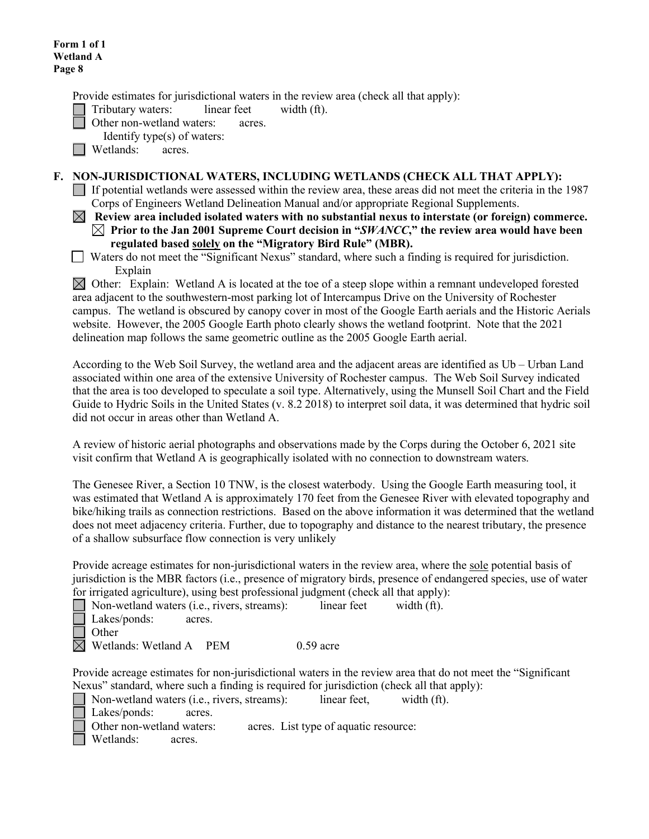Provide estimates for jurisdictional waters in the review area (check all that apply):

Tributary waters: linear feet width (ft).

Other non-wetland waters: acres.

Identify type(s) of waters:

**Netlands:** acres.

### **F. NON-JURISDICTIONAL WATERS, INCLUDING WETLANDS (CHECK ALL THAT APPLY):**

If potential wetlands were assessed within the review area, these areas did not meet the criteria in the 1987 Corps of Engineers Wetland Delineation Manual and/or appropriate Regional Supplements.

 **Review area included isolated waters with no substantial nexus to interstate (or foreign) commerce. Prior to the Jan 2001 Supreme Court decision in "***SWANCC***," the review area would have been regulated based solely on the "Migratory Bird Rule" (MBR).** 

 Waters do not meet the "Significant Nexus" standard, where such a finding is required for jurisdiction. Explain

 $\boxtimes$  Other: Explain: Wetland A is located at the toe of a steep slope within a remnant undeveloped forested area adjacent to the southwestern-most parking lot of Intercampus Drive on the University of Rochester campus. The wetland is obscured by canopy cover in most of the Google Earth aerials and the Historic Aerials website. However, the 2005 Google Earth photo clearly shows the wetland footprint. Note that the 2021 delineation map follows the same geometric outline as the 2005 Google Earth aerial.

According to the Web Soil Survey, the wetland area and the adjacent areas are identified as Ub – Urban Land associated within one area of the extensive University of Rochester campus. The Web Soil Survey indicated that the area is too developed to speculate a soil type. Alternatively, using the Munsell Soil Chart and the Field Guide to Hydric Soils in the United States (v. 8.2 2018) to interpret soil data, it was determined that hydric soil did not occur in areas other than Wetland A.

A review of historic aerial photographs and observations made by the Corps during the October 6, 2021 site visit confirm that Wetland A is geographically isolated with no connection to downstream waters.

The Genesee River, a Section 10 TNW, is the closest waterbody. Using the Google Earth measuring tool, it was estimated that Wetland A is approximately 170 feet from the Genesee River with elevated topography and bike/hiking trails as connection restrictions. Based on the above information it was determined that the wetland does not meet adjacency criteria. Further, due to topography and distance to the nearest tributary, the presence of a shallow subsurface flow connection is very unlikely

Provide acreage estimates for non-jurisdictional waters in the review area, where the sole potential basis of jurisdiction is the MBR factors (i.e., presence of migratory birds, presence of endangered species, use of water for irrigated agriculture), using best professional judgment (check all that apply):

Non-wetland waters (i.e., rivers, streams): linear feet width (ft).

Lakes/ponds: acres.  $\mathcal{L}$ 

**Other**  $\boxtimes$  Wetlands: Wetland A PEM 0.59 acre

Provide acreage estimates for non-jurisdictional waters in the review area that do not meet the "Significant Nexus" standard, where such a finding is required for jurisdiction (check all that apply):

Non-wetland waters (i.e., rivers, streams): linear feet, width (ft).

Lakes/ponds: acres.

Other non-wetland waters: acres. List type of aquatic resource:

Wetlands: acres.